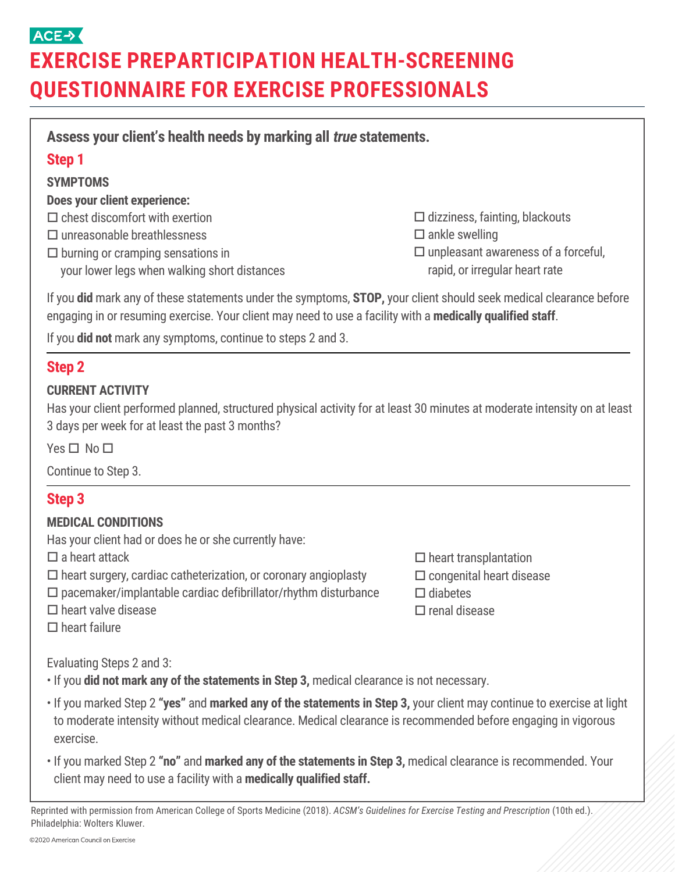## ACE-> **EXERCISE PREPARTICIPATION HEALTH-SCREENING QUESTIONNAIRE FOR EXERCISE PROFESSIONALS**

| Assess your client's health needs by marking all <i>true</i> statements.                                                                                                                                                                             |                                                                        |
|------------------------------------------------------------------------------------------------------------------------------------------------------------------------------------------------------------------------------------------------------|------------------------------------------------------------------------|
| <b>Step 1</b>                                                                                                                                                                                                                                        |                                                                        |
| <b>SYMPTOMS</b>                                                                                                                                                                                                                                      |                                                                        |
| <b>Does your client experience:</b>                                                                                                                                                                                                                  |                                                                        |
| $\Box$ chest discomfort with exertion                                                                                                                                                                                                                | $\Box$ dizziness, fainting, blackouts                                  |
| $\Box$ unreasonable breathlessness<br>$\square$ burning or cramping sensations in                                                                                                                                                                    | $\square$ ankle swelling<br>$\Box$ unpleasant awareness of a forceful, |
| your lower legs when walking short distances                                                                                                                                                                                                         | rapid, or irregular heart rate                                         |
| If you did mark any of these statements under the symptoms, STOP, your client should seek medical clearance before<br>engaging in or resuming exercise. Your client may need to use a facility with a medically qualified staff.                     |                                                                        |
| If you <b>did not</b> mark any symptoms, continue to steps 2 and 3.                                                                                                                                                                                  |                                                                        |
| <b>Step 2</b>                                                                                                                                                                                                                                        |                                                                        |
| <b>CURRENT ACTIVITY</b><br>Has your client performed planned, structured physical activity for at least 30 minutes at moderate intensity on at least<br>3 days per week for at least the past 3 months?                                              |                                                                        |
| $Yes \Box No \Box$                                                                                                                                                                                                                                   |                                                                        |
| Continue to Step 3.                                                                                                                                                                                                                                  |                                                                        |
| <b>Step 3</b>                                                                                                                                                                                                                                        |                                                                        |
| <b>MEDICAL CONDITIONS</b>                                                                                                                                                                                                                            |                                                                        |
| Has your client had or does he or she currently have:                                                                                                                                                                                                |                                                                        |
| $\square$ a heart attack                                                                                                                                                                                                                             | $\Box$ heart transplantation                                           |
| $\Box$ heart surgery, cardiac catheterization, or coronary angioplasty<br>$\square$ pacemaker/implantable cardiac defibrillator/rhythm disturbance                                                                                                   | $\square$ congenital heart disease<br>$\Box$ diabetes                  |
| $\Box$ heart valve disease                                                                                                                                                                                                                           | $\square$ renal disease                                                |
| $\Box$ heart failure                                                                                                                                                                                                                                 |                                                                        |
| Evaluating Steps 2 and 3:                                                                                                                                                                                                                            |                                                                        |
| . If you did not mark any of the statements in Step 3, medical clearance is not necessary.                                                                                                                                                           |                                                                        |
| . If you marked Step 2 "yes" and marked any of the statements in Step 3, your client may continue to exercise at light<br>to moderate intensity without medical clearance. Medical clearance is recommended before engaging in vigorous<br>exercise. |                                                                        |

• If you marked Step 2 **"no"** and **marked any of the statements in Step 3,** medical clearance is recommended. Your client may need to use a facility with a **medically qualified staff.**

Reprinted with permission from American College of Sports Medicine (2018). *ACSM's Guidelines for Exercise Testing and Prescription* (10th ed.). Philadelphia: Wolters Kluwer.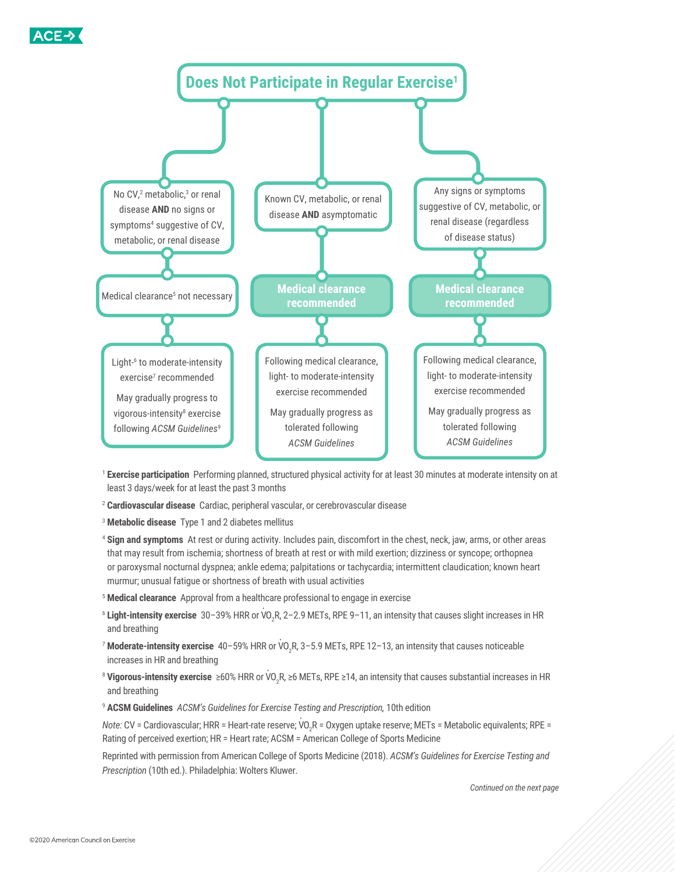



- <sup>1</sup> **Exercise participation** Performing planned, structured physical activity for at least 30 minutes at moderate intensity on at least 3 days/week for at least the past 3 months
- <sup>2</sup> **Cardiovascular disease** Cardiac, peripheral vascular, or cerebrovascular disease
- <sup>3</sup> **Metabolic disease** Type 1 and 2 diabetes mellitus
- <sup>4</sup> **Sign and symptoms** At rest or during activity. Includes pain, discomfort in the chest, neck, jaw, arms, or other areas that may result from ischemia; shortness of breath at rest or with mild exertion; dizziness or syncope; orthopnea or paroxysmal nocturnal dyspnea; ankle edema; palpitations or tachycardia; intermittent claudication; known heart murmur; unusual fatigue or shortness of breath with usual activities
- <sup>5</sup> **Medical clearance** Approval from a healthcare professional to engage in exercise
- <sup>6</sup> Light-intensity exercise 30–39% HRR or VO<sub>2</sub>R, 2–2.9 METs, RPE 9–11, an intensity that causes slight increases in HR and breathing
- <sup>7</sup> Moderate-intensity exercise 40–59% HRR or VO<sub>2</sub>R, 3–5.9 METs, RPE 12–13, an intensity that causes noticeable increases in HR and breathing
- <sup>8</sup> Vigorous-intensity exercise ≥60% HRR or VO<sub>2</sub>R, ≥6 METs, RPE ≥14, an intensity that causes substantial increases in HR and breathing
- <sup>9</sup> **ACSM Guidelines** *ACSM's Guidelines for Exercise Testing and Prescription,* 10th edition

*Note:* CV = Cardiovascular; HRR = Heart-rate reserve; VO<sub>2</sub>R = Oxygen uptake reserve; METs = Metabolic equivalents; RPE = Rating of perceived exertion; HR = Heart rate; ACSM = American College of Sports Medicine

Reprinted with permission from American College of Sports Medicine (2018). *ACSM's Guidelines for Exercise Testing and Prescription* (10th ed.). Philadelphia: Wolters Kluwer.

*Continued on the next page*